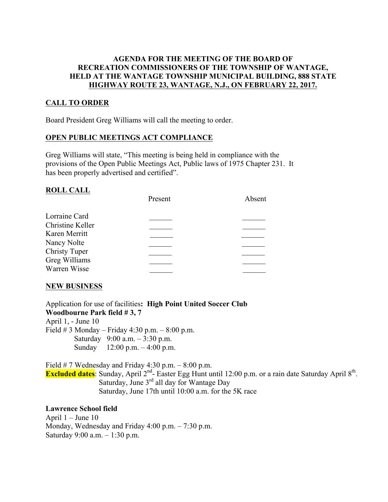## AGENDA FOR THE MEETING OF THE BOARD OF RECREATION COMMISSIONERS OF THE TOWNSHIP OF WANTAGE, HELD AT THE WANTAGE TOWNSHIP MUNICIPAL BUILDING, 888 STATE HIGHWAY ROUTE 23, WANTAGE, N.J., ON FEBRUARY 22, 2017.

# CALL TO ORDER

Board President Greg Williams will call the meeting to order.

## OPEN PUBLIC MEETINGS ACT COMPLIANCE

Greg Williams will state, "This meeting is being held in compliance with the provisions of the Open Public Meetings Act, Public laws of 1975 Chapter 231. It has been properly advertised and certified".

## ROLL CALL

|                      | Present | Absent |
|----------------------|---------|--------|
| Lorraine Card        |         |        |
| Christine Keller     |         |        |
| Karen Merritt        |         |        |
| Nancy Nolte          |         |        |
| <b>Christy Tuper</b> |         |        |
| Greg Williams        |         |        |
| Warren Wisse         |         |        |

# NEW BUSINESS

Application for use of facilities: High Point United Soccer Club Woodbourne Park field # 3, 7 April 1, - June 10 Field  $# 3$  Monday – Friday 4:30 p.m. – 8:00 p.m. Saturday 9:00 a.m. – 3:30 p.m. Sunday 12:00 p.m. – 4:00 p.m.

Field # 7 Wednesday and Friday 4:30 p.m. – 8:00 p.m. **Excluded dates**: Sunday, April  $2^{nd}$ - Easter Egg Hunt until 12:00 p.m. or a rain date Saturday April  $8^{th}$ . Saturday, June  $3<sup>rd</sup>$  all day for Wantage Day Saturday, June 17th until 10:00 a.m. for the 5K race

### Lawrence School field

April 1 – June 10 Monday, Wednesday and Friday 4:00 p.m. – 7:30 p.m. Saturday 9:00 a.m. – 1:30 p.m.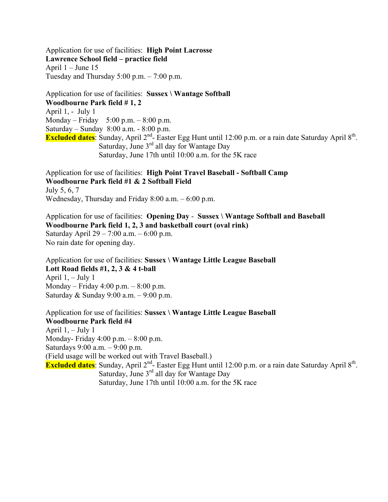Application for use of facilities: High Point Lacrosse Lawrence School field – practice field April  $1 -$ June 15 Tuesday and Thursday 5:00 p.m. – 7:00 p.m.

Application for use of facilities: Sussex \ Wantage Softball Woodbourne Park field # 1, 2 April 1, - July 1 Monday – Friday 5:00 p.m. –  $8:00$  p.m. Saturday – Sunday 8:00 a.m. - 8:00 p.m. Excluded dates: Sunday, April 2<sup>nd</sup>- Easter Egg Hunt until 12:00 p.m. or a rain date Saturday April 8<sup>th</sup>. Saturday, June 3<sup>rd</sup> all day for Wantage Day Saturday, June 17th until 10:00 a.m. for the 5K race

Application for use of facilities: High Point Travel Baseball - Softball Camp Woodbourne Park field #1 & 2 Softball Field July 5, 6, 7 Wednesday, Thursday and Friday 8:00 a.m. – 6:00 p.m.

Application for use of facilities: Opening Day - Sussex \ Wantage Softball and Baseball Woodbourne Park field 1, 2, 3 and basketball court (oval rink) Saturday April 29 – 7:00 a.m. – 6:00 p.m. No rain date for opening day.

Application for use of facilities: Sussex \ Wantage Little League Baseball Lott Road fields #1, 2, 3 & 4 t-ball April  $1, -$  July 1 Monday – Friday 4:00 p.m. – 8:00 p.m. Saturday & Sunday 9:00 a.m. – 9:00 p.m.

Application for use of facilities: Sussex \ Wantage Little League Baseball Woodbourne Park field #4 April  $1, -$  July 1 Monday- Friday 4:00 p.m. – 8:00 p.m. Saturdays 9:00 a.m. – 9:00 p.m. (Field usage will be worked out with Travel Baseball.) Excluded dates: Sunday, April 2<sup>nd</sup>- Easter Egg Hunt until 12:00 p.m. or a rain date Saturday April 8<sup>th</sup>. Saturday, June 3<sup>rd</sup> all day for Wantage Day Saturday, June 17th until 10:00 a.m. for the 5K race